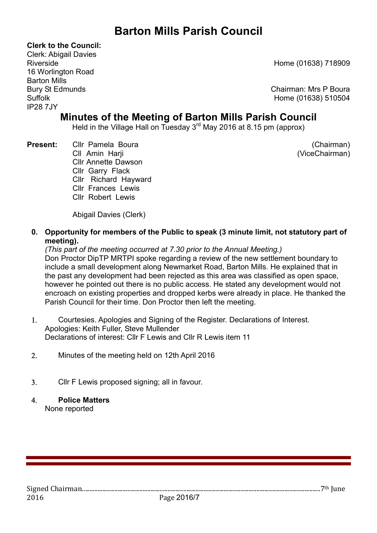# Barton Mills Parish Council

Clerk to the Council:

Clerk: Abigail Davies 16 Worlington Road Barton Mills IP28 7JY

Riverside Home (01638) 718909

Bury St Edmunds **Chairman: Mrs P Boura** Suffolk Home (01638) 510504

# Minutes of the Meeting of Barton Mills Parish Council

Held in the Village Hall on Tuesday 3<sup>rd</sup> May 2016 at 8.15 pm (approx)

Present: Cllr Pamela Boura (Chairman) Cllr-Amin\_Harji (ViceChairman) Cllr-Annette-Dawson Cllr Garry Flack Cllr Richard Hayward Cllr Frances Lewis Cllr\_Robert\_Lewis

Abigail Davies (Clerk)

0. Opportunity for members of the Public to speak (3 minute limit, not statutory part of meeting).

(This part of the meeting occurred at 7.30 prior to the Annual Meeting.) Don Proctor DipTP MRTPI spoke regarding a review of the new settlement boundary to include a small development along Newmarket Road, Barton Mills. He explained that in the past any development had been rejected as this area was classified as open space, however he pointed out there is no public access. He stated any development would not encroach on existing properties and dropped kerbs were already in place. He thanked the Parish Council for their time. Don Proctor then left the meeting.

- Courtesies. Apologies and Signing of the Register. Declarations of Interest. Apologies: Keith Fuller, Steve Mullender Declarations of interest: Cllr F Lewis and Cllr R Lewis item 11
- Minutes of the meeting held on 12th April 2016
- Cllr F Lewis proposed signing; all in favour.
- Police Matters None reported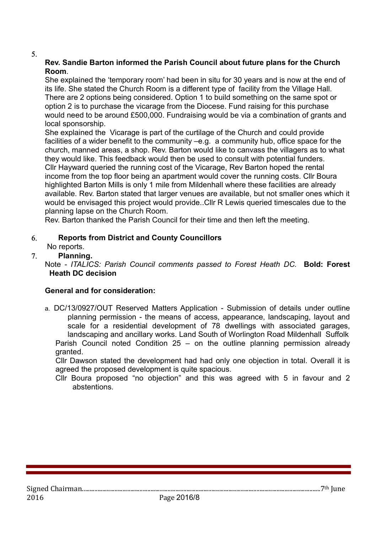#### $5<sub>1</sub>$

#### Rev. Sandie Barton informed the Parish Council about future plans for the Church Room.

She explained the 'temporary room' had been in situ for 30 years and is now at the end of its life. She stated the Church Room is a different type of facility from the Village Hall. There are 2 options being considered. Option 1 to build something on the same spot or option 2 is to purchase the vicarage from the Diocese. Fund raising for this purchase would need to be around £500,000. Fundraising would be via a combination of grants and local sponsorship.

She explained the Vicarage is part of the curtilage of the Church and could provide facilities of a wider benefit to the community –e.g. a community hub, office space for the church, manned areas, a shop. Rev. Barton would like to canvass the villagers as to what they would like. This feedback would then be used to consult with potential funders. Cllr Hayward queried the running cost of the Vicarage, Rev Barton hoped the rental income from the top floor being an apartment would cover the running costs. Cllr Boura highlighted Barton Mills is only 1 mile from Mildenhall where these facilities are already available. Rev. Barton stated that larger venues are available, but not smaller ones which it would be envisaged this project would provide..Cllr R Lewis queried timescales due to the planning lapse on the Church Room.

Rev. Barton thanked the Parish Council for their time and then left the meeting.

## Reports from District and County Councillors

No reports.

## Planning.

Note - ITALICS: Parish Council comments passed to Forest Heath DC. Bold: Forest Heath DC decision

## General and for consideration:

a. DC/13/0927/OUT Reserved Matters Application - Submission of details under outline planning permission - the means of access, appearance, landscaping, layout and scale for a residential development of 78 dwellings with associated garages, landscaping and ancillary works. Land South of Worlington Road Mildenhall Suffolk Parish Council noted Condition 25 – on the outline planning permission already granted.

Cllr Dawson stated the development had had only one objection in total. Overall it is agreed the proposed development is quite spacious.

Cllr Boura proposed "no objection" and this was agreed with 5 in favour and 2 abstentions.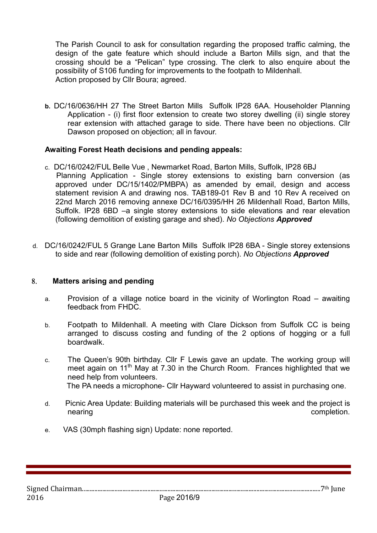The Parish Council to ask for consultation regarding the proposed traffic calming, the design of the gate feature which should include a Barton Mills sign, and that the crossing should be a "Pelican" type crossing. The clerk to also enquire about the possibility of S106 funding for improvements to the footpath to Mildenhall. Action proposed by Cllr Boura; agreed.

b. DC/16/0636/HH 27 The Street Barton Mills Suffolk IP28 6AA. Householder Planning Application - (i) first floor extension to create two storey dwelling (ii) single storey rear extension with attached garage to side. There have been no objections. Cllr Dawson proposed on objection; all in favour.

#### Awaiting Forest Heath decisions and pending appeals:

- c. DC/16/0242/FUL Belle Vue , Newmarket Road, Barton Mills, Suffolk, IP28 6BJ Planning Application - Single storey extensions to existing barn conversion (as approved under DC/15/1402/PMBPA) as amended by email, design and access statement revision A and drawing nos. TAB189-01 Rev B and 10 Rev A received on 22nd March 2016 removing annexe DC/16/0395/HH 26 Mildenhall Road, Barton Mills, Suffolk. IP28 6BD –a single storey extensions to side elevations and rear elevation (following demolition of existing garage and shed). No Objections Approved
- d. DC/16/0242/FUL 5 Grange Lane Barton Mills Suffolk IP28 6BA Single storey extensions to side and rear (following demolition of existing porch). No Objections Approved

#### Matters arising and pending

- a. Provision of a village notice board in the vicinity of Worlington Road awaiting feedback from FHDC.
- b. Footpath to Mildenhall. A meeting with Clare Dickson from Suffolk CC is being arranged to discuss costing and funding of the 2 options of hogging or a full boardwalk.
- c. The Queen's 90th birthday. Cllr F Lewis gave an update. The working group will meet again on  $11<sup>th</sup>$  May at 7.30 in the Church Room. Frances highlighted that we need help from volunteers. The PA needs a microphone- Cllr Hayward volunteered to assist in purchasing one.
- d. Picnic Area Update: Building materials will be purchased this week and the project is nearing completion.
- e. VAS (30mph flashing sign) Update: none reported.

Signed Chairman.........................................................................................................................................................7th June 2016 Page 2016/9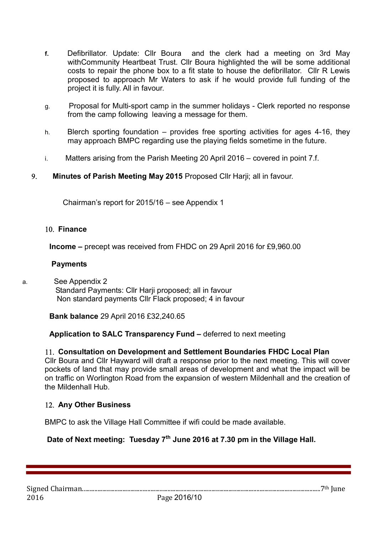- f. Defibrillator. Update: Cllr Boura and the clerk had a meeting on 3rd May withCommunity Heartbeat Trust. Cllr Boura highlighted the will be some additional costs to repair the phone box to a fit state to house the defibrillator. Cllr R Lewis proposed to approach Mr Waters to ask if he would provide full funding of the project it is fully. All in favour.
- g. Proposal for Multi-sport camp in the summer holidays Clerk reported no response from the camp following leaving a message for them.
- h. Blerch sporting foundation provides free sporting activities for ages 4-16, they may approach BMPC regarding use the playing fields sometime in the future.
- i. Matters arising from the Parish Meeting 20 April 2016 covered in point 7.f.

## 9. Minutes of Parish Meeting May 2015 Proposed Cllr Harji; all in favour.

Chairman's report for 2015/16 – see Appendix 1

#### 10. Finance

Income – precept was received from FHDC on 29 April 2016 for £9,960.00

#### **Payments**

a. See Appendix 2 Standard Payments: Cllr Harji proposed; all in favour Non standard payments Cllr Flack proposed; 4 in favour

#### Bank balance 29 April 2016 £32,240.65

Application to SALC Transparency Fund – deferred to next meeting

## 11. Consultation on Development and Settlement Boundaries FHDC Local Plan

Cllr Boura and Cllr Hayward will draft a response prior to the next meeting. This will cover pockets of land that may provide small areas of development and what the impact will be on traffic on Worlington Road from the expansion of western Mildenhall and the creation of the Mildenhall Hub.

## 12. Any Other Business

BMPC to ask the Village Hall Committee if wifi could be made available.

# Date of Next meeting: Tuesday 7<sup>th</sup> June 2016 at 7.30 pm in the Village Hall.

Signed Chairman.........................................................................................................................................................7th June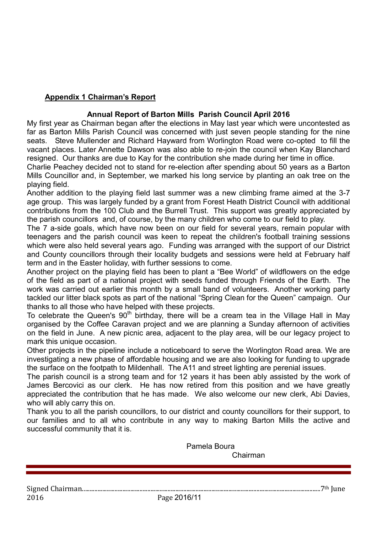## Appendix 1 Chairman's Report

### Annual Report of Barton Mills Parish Council April 2016

My first year as Chairman began after the elections in May last year which were uncontested as far as Barton Mills Parish Council was concerned with just seven people standing for the nine seats. Steve Mullender and Richard Hayward from Worlington Road were co-opted to fill the vacant places. Later Annette Dawson was also able to re-join the council when Kay Blanchard resigned. Our thanks are due to Kay for the contribution she made during her time in office.

Charlie Peachey decided not to stand for re-election after spending about 50 years as a Barton Mills Councillor and, in September, we marked his long service by planting an oak tree on the playing field.

Another addition to the playing field last summer was a new climbing frame aimed at the 3-7 age group. This was largely funded by a grant from Forest Heath District Council with additional contributions from the 100 Club and the Burrell Trust. This support was greatly appreciated by the parish councillors and, of course, by the many children who come to our field to play.

The 7 a-side goals, which have now been on our field for several years, remain popular with teenagers and the parish council was keen to repeat the children's football training sessions which were also held several years ago. Funding was arranged with the support of our District and County councillors through their locality budgets and sessions were held at February half term and in the Easter holiday, with further sessions to come.

Another project on the playing field has been to plant a "Bee World" of wildflowers on the edge of the field as part of a national project with seeds funded through Friends of the Earth. The work was carried out earlier this month by a small band of volunteers. Another working party tackled our litter black spots as part of the national "Spring Clean for the Queen" campaign. Our thanks to all those who have helped with these projects.

To celebrate the Queen's  $90<sup>th</sup>$  birthday, there will be a cream tea in the Village Hall in May organised by the Coffee Caravan project and we are planning a Sunday afternoon of activities on the field in June. A new picnic area, adjacent to the play area, will be our legacy project to mark this unique occasion.

Other projects in the pipeline include a noticeboard to serve the Worlington Road area. We are investigating a new phase of affordable housing and we are also looking for funding to upgrade the surface on the footpath to Mildenhall. The A11 and street lighting are perenial issues.

The parish council is a strong team and for 12 years it has been ably assisted by the work of James Bercovici as our clerk. He has now retired from this position and we have greatly appreciated the contribution that he has made. We also welcome our new clerk, Abi Davies, who will ably carry this on.

Thank you to all the parish councillors, to our district and county councillors for their support, to our families and to all who contribute in any way to making Barton Mills the active and successful community that it is.

Signed Chairman.........................................................................................................................................................7th June 2016 Page 2016/11 Pamela Boura Chairman